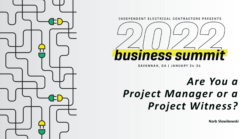

INDEPENDENT ELECTRICAL CONTRACTORS PRESENTS



SAVANNAH, GA | JANUARY 24-26

# *Are You a Project Manager or a Project Witness?*

**Norb Slowikowski**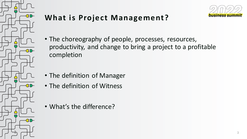

### **What is Project Management?**



- The choreography of people, processes, resources, productivity, and change to bring a project to a profitable completion
- The definition of Manager
- The definition of Witness
- What's the difference?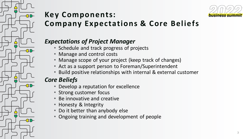

### **Key Components: Company Expectations & Core Beliefs**

### *Expectations of Project Manager*

- Schedule and track progress of projects
- Manage and control costs
- Manage scope of your project (keep track of changes)
- Act as a support person to Foreman/Superintendent
- Build positive relationships with internal & external customer

### *Core Beliefs*

**CD-**

**CED** 

**CED** 

**CED** 

 $\Gamma$ 

- Develop a reputation for excellence
- Strong customer focus
- Be innovative and creative
- Honesty & Integrity
- Do it better than anybody else
- Ongoing training and development of people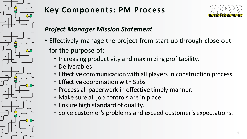

## **Key Components: PM Process**



### *Project Manager Mission Statement*

- Effectively manage the project from start up through close out for the purpose of:
	- Increasing productivity and maximizing profitability.
	- Deliverables
	- Effective communication with all players in construction process.
	- Effective coordination with Subs
	- Process all paperwork in effective timely manner.
	- Make sure all job controls are in place
	- Ensure high standard of quality.
	- Solve customer's problems and exceed customer's expectations.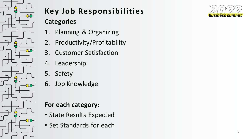

# **Key Job Responsibilities**

### **Categories**

- 1. Planning & Organizing
- 2. Productivity/Profitability
- 3. Customer Satisfaction
- 4. Leadership
- 5. Safety
- 6. Job Knowledge

### **For each category:**

- State Results Expected
- Set Standards for each

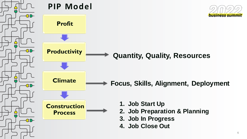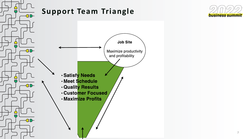

### **Support Team Triangle**



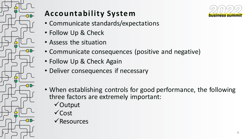

## **Accountability System**



- Communicate standards/expectations
- Follow Up & Check
- Assess the situation
- Communicate consequences (positive and negative)
- Follow Up & Check Again
- Deliver consequences if necessary
- When establishing controls for good performance, the following three factors are extremely important:
	- ✓Output
	- ✓Cost
	- ✓Resources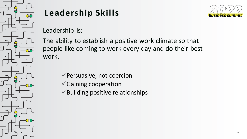

# **Leadership Skills**



Leadership is:

The ability to establish a positive work climate so that people like coming to work every day and do their best work.

- ✓Persuasive, not coercion
- ✓Gaining cooperation
- $\checkmark$  Building positive relationships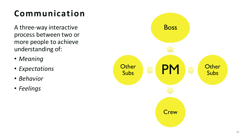# **Communication**

A three-way interactive process between two or more people to achieve understanding of:

- *Meaning*
- *Expectations*
- *Behavior*
- *Feelings*

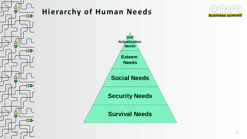



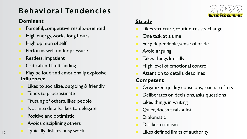# **Behavioral Tendencies**

#### **Dominant**

- <sup>◼</sup> Forceful, competitive, results-oriented
- High energy, works long hours
- High opinion of self
- Performs well under pressure
- Restless, impatient
- <sup>◼</sup> Critical and fault-finding
- May be loud and emotionally explosive **Influencer**
- Likes to socialize, outgoing & friendly
- Tends to procrastinate
- Trusting of others, likes people
- Not into details, likes to delegate
- Positive and optimistic

12

- Avoids disciplining others
- Typically dislikes busy work



### **Steady**

- Likes structure, routine, resists change
- One task at a time
- Very dependable, sense of pride
- Avoid arguing
- Takes things literally
- High level of emotional control
- Attention to details, deadlines

#### **Competent**

- Organized, quality conscious, reacts to facts
- Deliberates on decisions, asks questions
- Likes things in writing
- Quiet, doesn't talk a lot
- **Diplomatic**
- Dislikes criticism
- Likes defined limits of authority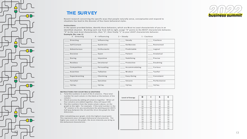

#### **TH E S U R V E Y**



Recent research concerning the specific ways that people naturally sense, conceptualize and respond to situations has lead to the discover of four basic behavioral styles.

#### Instructions

In the spaces provided below, identify those behaviors, which are Most to Least characteristic of you in an identified situation. Working each row from left to right, assign "4" points to the MOST characteristic behavior, "3" to the next most characteristic, then "2", then finally "1" to your LEAST characteristic behavior.

#### **E x a m p l e ( f o r r o w 1 )**

| 3 - Directing         | $4$ - Influencing         | $2 - Steady$                          | 1 - Cautious                     |
|-----------------------|---------------------------|---------------------------------------|----------------------------------|
| Directing             | Influencing               | $---$ Steady                          | Cautious                         |
| Self-Certain          | $\frac{1}{2}$ Optim istic | $\frac{1}{1}$ Deliberate              | $\frac{1}{2}$ Restrained         |
| Adventurous           | Enthusiastic              | $\frac{1}{1-\frac{1}{2}}$ Predictable | $---$ Logical                    |
| Decisive              | Open                      | ____ Patient                          | $_{---}$ Analytical              |
| $\overline{a}$ Daring | Im pulsive                | Stabilizing                           | Precise                          |
| Restless              | Em otional                | Protective                            | $\frac{1}{1}$ Doubting           |
| Competitive           | Persuading                | A c c o m m o d a t in g              | Curious                          |
| Assertive             | Talkative                 | $_{---}$ Modest                       | $\overline{\phantom{a}}$ Tactful |
| Experimenting         | Charming                  | Easy-Going                            | Consistent                       |
| Forceful              | Sensitive                 | Sincere                               | Perfectionist                    |
| TOTAL                 | $_{---}$ TOTAL            | TOTAL                                 | $---$ TOTAL                      |

#### INSTRUCTIONS FOR COUNTING & GRAPHING

- 1. Total the numbers in each of the 4 columns. Place total number for each column in the blank at the bottom of the c o lu m n .
- 2. Check accuracy by adding all columns together. When all four columns are added together, they will equal 100.
- 3. Plot the numbers from the totals column above, on the graph to the right. For example: if the total number in the "D" column is 15, you would place the plotting point (DOT) half-way between the 14 and the 16 on the graph for that d i m e n s i o n .

.<br>After completing your graph, circle the highest visual point. This represents your strongest behavioral characteristic. The higher you score on the graph, the more intensity you bring to this behavioral characteristic.

| Level of Energy | D  | ı  | S  | С  |
|-----------------|----|----|----|----|
|                 | 40 | 40 | 40 | 40 |
|                 | 38 | 38 | 38 | 38 |
|                 | 36 | 36 | 36 | 36 |
|                 | 34 | 34 | 34 | 34 |
|                 | 32 | 32 | 32 | 32 |
|                 | 30 | 30 | 30 | 30 |
|                 | 28 | 28 | 28 | 28 |
|                 | 26 | 26 | 26 | 26 |
|                 | 24 | 24 | 24 | 24 |
|                 | 22 | 22 | 22 | 22 |
|                 | 20 | 20 | 20 | 20 |
|                 | 18 | 18 | 18 | 18 |
|                 | 16 | 16 | 16 | 16 |
|                 | 14 | 14 | 14 | 14 |
|                 | 12 | 12 | 12 | 12 |
|                 | 10 | 10 | 10 | 10 |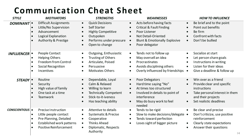# **Communication Cheat Sheet**

| <b>STYLE</b>           | <b>MOTIVATORS</b>                                                                                                                                                                               | <b>STRENGTHS</b>                                                                                                                                                                                        | <b>WEAKNESSES</b>                                                                                                                                                                                                                                          | <b>HOW TO INFLUENCE</b>                                                                                                                                                                      |
|------------------------|-------------------------------------------------------------------------------------------------------------------------------------------------------------------------------------------------|---------------------------------------------------------------------------------------------------------------------------------------------------------------------------------------------------------|------------------------------------------------------------------------------------------------------------------------------------------------------------------------------------------------------------------------------------------------------------|----------------------------------------------------------------------------------------------------------------------------------------------------------------------------------------------|
| <b>DOMINANT</b>        | <b>Difficult Assignments</b><br>$\bullet$<br>Little/No Supervision<br>Advancement<br>Logical Explanation<br><b>Authority &amp; Prestige</b>                                                     | <b>Quick Decisions</b><br>$\bullet$<br><b>Self Starter</b><br>$\bullet$<br><b>Highly Competitive</b><br>$\bullet$<br>Outspoken<br>$\bullet$<br>Performs under pressure<br>$\bullet$<br>Open to change   | Acts before having facts<br>$\bullet$<br><b>Critical &amp; Fault Finding</b><br>$\bullet$<br>Poor Listener<br>$\bullet$<br><b>Not Detail-Oriented</b><br>$\bullet$<br><b>Blunt &amp; Emotionally Explosive</b><br>$\bullet$<br>Poor delegator<br>$\bullet$ | Be brief and to the point<br>$\bullet$<br>Point out benefits<br>Be firm<br>Confront with facts<br>Don't be bullied<br>$\bullet$                                                              |
| <b>INFLUENCER ·</b>    | People Contact<br><b>Helping Others</b><br>$\bullet$<br><b>Freedom from Control</b><br><b>Social Recognition</b><br>$\bullet$<br>Incentives                                                     | <b>Outgoing, Enthusiastic</b><br>$\bullet$<br>Trusting of Others<br>Articulate, Poised<br>$\bullet$<br>Persuasive<br>$\bullet$<br><b>Motivates Others</b>                                               | Tends not to follow up<br>$\bullet$<br>May oversell an idea<br>$\bullet$<br>Procrastinates<br>$\bullet$<br>Avoids disciplining others<br>$\bullet$<br>Overly influenced by friendships •                                                                   | Socialize at start<br>$\bullet$<br>Let person share goals<br>Instructions in writing<br>Listen for their ideas<br>$\bullet$<br>Give a deadline & follow up                                   |
| STEADY <sup>.</sup>    | Routine<br>Security<br>$\bullet$<br>High value of family<br>One task at a time<br><b>Teamwork</b>                                                                                               | Dependable, Loyal<br>$\bullet$<br>Calm & Relaxed<br>$\bullet$<br>Willing to learn<br>$\bullet$<br><b>Technically Competent</b><br>$\bullet$<br>Stick-to-it-iveness<br>Has teaching ability<br>$\bullet$ | Poor Delegators<br>$\bullet$<br>Hard time saying "No"<br>$\bullet$<br>At times too structured<br>$\bullet$<br>Involved in details to point of<br>$\bullet$<br>interference<br>May do busy work to feel<br>$\bullet$<br>needed                              | Win over as a friend<br>Provide clear and specific<br>$\bullet$<br>instructions<br>Take personal interest in them<br>$\bullet$<br>and their projects<br>Set realistic deadlines<br>$\bullet$ |
| <b>CONSCIENTIOUS ·</b> | <b>Precise Instruction</b><br>Little people contact<br>$\bullet$<br>Pre-Planning, Detailed<br>$\bullet$<br>Established work patterns<br>$\bullet$<br><b>Positive Reinforcement</b><br>$\bullet$ | Attentive to details<br>$\bullet$<br><b>Systematic &amp; Precise</b><br>$\bullet$<br>Cooperative<br>$\bullet$<br><b>Thinks Ahead</b><br>$\bullet$<br>Diplomatic, Respects<br>$\bullet$<br>Authority     | Tends to be rigid<br>$\bullet$<br>Slow to make decisions/delegate •<br>$\bullet$<br>Tends toward perfection<br>$\bullet$<br>Loses sight of bigger picture<br>$\bullet$                                                                                     | Be clear and precise<br>Don't criticize, use positive<br>reinforcement<br>Clearly state expectations<br>Answer their questions<br> 4                                                         |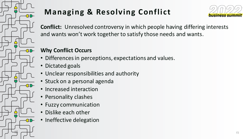

# **Managing & Resolving Conflict**



**Conflict:** Unresolved controversy in which people having differing interests and wants won't work together to satisfy those needs and wants.

### **Why Conflict Occurs**

- Differences in perceptions, expectations and values.
- Dictated goals
- Unclear responsibilities and authority
- Stuck on a personal agenda
- Increased interaction
- Personality clashes
- Fuzzy communication
- Dislike each other
- Ineffective delegation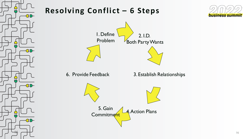

## **Resolving Conflict – 6 Steps**



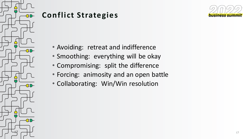

### **Conflict Strategies**

╦

 $\overline{1}$ 

 $\mathbf{r}$ 

 $\Gamma$ 

 $-$ CD-

**CED** 

**CED-**

**CED** 

- Avoiding: retreat and indifference
- Smoothing: everything will be okay
- Compromising: split the difference
- Forcing: animosity and an open battle
- Collaborating: Win/Win resolution